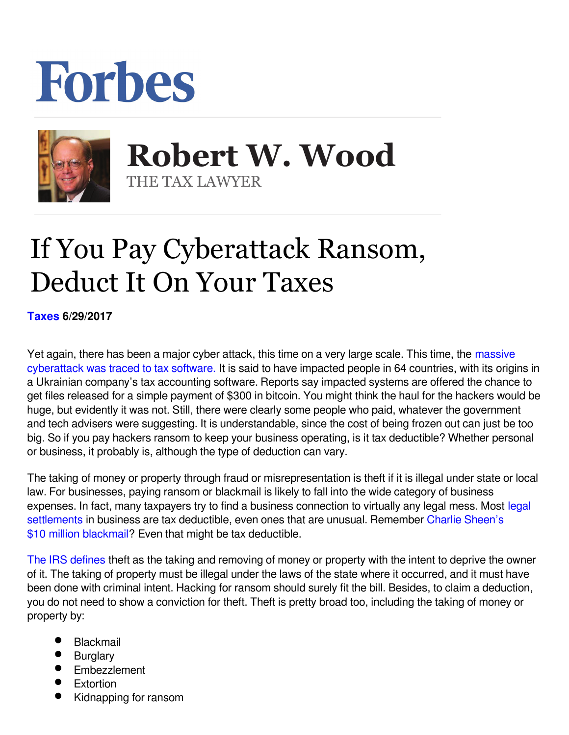## Forbes



 **Robert W. Wood** THE TAX LAWYER

## If You Pay Cyberattack Ransom, Deduct It On Your Taxes

**[Taxes](https://www.forbes.com/taxes) 6/29/2017** 

Yet again, there has been a major cyber attack, this time on a very large scale. This time, the [massive](https://www.forbes.com/sites/kellyphillipserb/2017/06/28/massive-cyberattack-traced-to-tax-software/) [cyberattack was traced to tax software.](https://www.forbes.com/sites/kellyphillipserb/2017/06/28/massive-cyberattack-traced-to-tax-software/) It is said to have impacted people in 64 countries, with its origins in a Ukrainian company's tax accounting software. Reports say impacted systems are offered the chance to get files released for a simple payment of \$300 in bitcoin. You might think the haul for the hackers would be huge, but evidently it was not. Still, there were clearly some people who paid, whatever the government and tech advisers were suggesting. It is understandable, since the cost of being frozen out can just be too big. So if you pay hackers ransom to keep your business operating, is it tax deductible? Whether personal or business, it probably is, although the type of deduction can vary.

The taking of money or property through fraud or misrepresentation is theft if it is illegal under state or local law. For businesses, paying ransom or blackmail is likely to fall into the wide category of business expenses. In fact, many taxpayers try to find a business connection to virtually any [legal](http://www.forbes.com/sites/robertwood/2015/07/06/10-things-to-know-about-taxes-on-legal-settlements/) mess. Most legal [settlements](http://www.forbes.com/sites/robertwood/2015/07/06/10-things-to-know-about-taxes-on-legal-settlements/) in business are tax deductible, even ones that are unusual. Remember [Charlie Sheen's](http://www.forbes.com/sites/robertwood/2015/11/18/charlie-sheens-10m-blackmail-tax-deduction/) [\\$10 million blackmail?](http://www.forbes.com/sites/robertwood/2015/11/18/charlie-sheens-10m-blackmail-tax-deduction/) Even that might be tax deductible.

[The IRS defines](http://www.irs.gov/publications/p17/ch25.html#en_US_2011_publink1000173531) theft as the taking and removing of money or property with the intent to deprive the owner of it. The taking of property must be illegal under the laws of the state where it occurred, and it must have been done with criminal intent. Hacking for ransom should surely fit the bill. Besides, to claim a deduction, you do not need to show a conviction for theft. Theft is pretty broad too, including the taking of money or property by:

- **Blackmail**
- **•** Burglary
- **Embezzlement**
- $\bullet$ **Extortion**
- Kidnapping for ransom